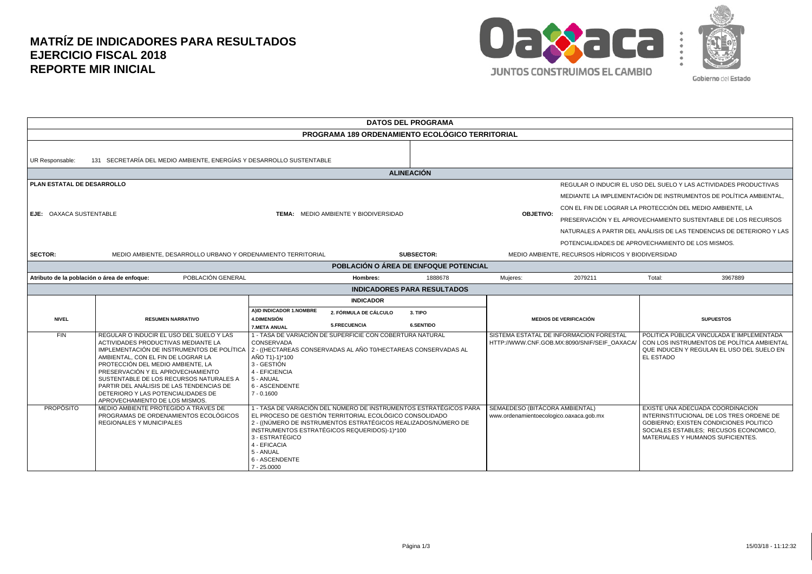## **MATRÍZ DE INDICADORES PARA RESULTADOS EJERCICIO FISCAL 2018 REPORTE MIR INICIAL**



| <b>DATOS DEL PROGRAMA</b>                                                                                                           |                                                                                                                                                                                                                                                                                                                                                                                                              |                                                                                                              |                                                                                                                                                                                                                                                 |                                    |                                                                           |                                                                                                                                       |                                                                                                                                                                                                      |  |  |
|-------------------------------------------------------------------------------------------------------------------------------------|--------------------------------------------------------------------------------------------------------------------------------------------------------------------------------------------------------------------------------------------------------------------------------------------------------------------------------------------------------------------------------------------------------------|--------------------------------------------------------------------------------------------------------------|-------------------------------------------------------------------------------------------------------------------------------------------------------------------------------------------------------------------------------------------------|------------------------------------|---------------------------------------------------------------------------|---------------------------------------------------------------------------------------------------------------------------------------|------------------------------------------------------------------------------------------------------------------------------------------------------------------------------------------------------|--|--|
| <b>PROGRAMA 189 ORDENAMIENTO ECOLÓGICO TERRITORIAL</b>                                                                              |                                                                                                                                                                                                                                                                                                                                                                                                              |                                                                                                              |                                                                                                                                                                                                                                                 |                                    |                                                                           |                                                                                                                                       |                                                                                                                                                                                                      |  |  |
| UR Responsable:                                                                                                                     | 131 SECRETARÍA DEL MEDIO AMBIENTE, ENERGÍAS Y DESARROLLO SUSTENTABLE                                                                                                                                                                                                                                                                                                                                         |                                                                                                              |                                                                                                                                                                                                                                                 |                                    |                                                                           |                                                                                                                                       |                                                                                                                                                                                                      |  |  |
| <b>ALINEACIÓN</b>                                                                                                                   |                                                                                                                                                                                                                                                                                                                                                                                                              |                                                                                                              |                                                                                                                                                                                                                                                 |                                    |                                                                           |                                                                                                                                       |                                                                                                                                                                                                      |  |  |
| PLAN ESTATAL DE DESARROLLO                                                                                                          |                                                                                                                                                                                                                                                                                                                                                                                                              |                                                                                                              |                                                                                                                                                                                                                                                 |                                    |                                                                           | REGULAR O INDUCIR EL USO DEL SUELO Y LAS ACTIVIDADES PRODUCTIVAS<br>MEDIANTE LA IMPLEMENTACIÓN DE INSTRUMENTOS DE POLÍTICA AMBIENTAL, |                                                                                                                                                                                                      |  |  |
| EJE: OAXACA SUSTENTABLE                                                                                                             |                                                                                                                                                                                                                                                                                                                                                                                                              | <b>TEMA: MEDIO AMBIENTE Y BIODIVERSIDAD</b>                                                                  |                                                                                                                                                                                                                                                 |                                    | <b>OBJETIVO:</b>                                                          |                                                                                                                                       | CON EL FIN DE LOGRAR LA PROTECCIÓN DEL MEDIO AMBIENTE. LA<br>PRESERVACIÓN Y EL APROVECHAMIENTO SUSTENTABLE DE LOS RECURSOS                                                                           |  |  |
|                                                                                                                                     |                                                                                                                                                                                                                                                                                                                                                                                                              |                                                                                                              |                                                                                                                                                                                                                                                 |                                    |                                                                           |                                                                                                                                       | NATURALES A PARTIR DEL ANÁLISIS DE LAS TENDENCIAS DE DETERIORO Y LAS<br>POTENCIALIDADES DE APROVECHAMIENTO DE LOS MISMOS.                                                                            |  |  |
| <b>SECTOR:</b>                                                                                                                      | MEDIO AMBIENTE, RECURSOS HÍDRICOS Y BIODIVERSIDAD<br><b>SUBSECTOR:</b><br>MEDIO AMBIENTE, DESARROLLO URBANO Y ORDENAMIENTO TERRITORIAL                                                                                                                                                                                                                                                                       |                                                                                                              |                                                                                                                                                                                                                                                 |                                    |                                                                           |                                                                                                                                       |                                                                                                                                                                                                      |  |  |
| POBLACIÓN O ÁREA DE ENFOQUE POTENCIAL                                                                                               |                                                                                                                                                                                                                                                                                                                                                                                                              |                                                                                                              |                                                                                                                                                                                                                                                 |                                    |                                                                           |                                                                                                                                       |                                                                                                                                                                                                      |  |  |
| POBLACIÓN GENERAL<br>Atributo de la población o área de enfoque:<br>Mujeres:<br>3967889<br>Hombres:<br>1888678<br>2079211<br>Total: |                                                                                                                                                                                                                                                                                                                                                                                                              |                                                                                                              |                                                                                                                                                                                                                                                 |                                    |                                                                           |                                                                                                                                       |                                                                                                                                                                                                      |  |  |
|                                                                                                                                     |                                                                                                                                                                                                                                                                                                                                                                                                              |                                                                                                              |                                                                                                                                                                                                                                                 | <b>INDICADORES PARA RESULTADOS</b> |                                                                           |                                                                                                                                       |                                                                                                                                                                                                      |  |  |
| <b>NIVEL</b>                                                                                                                        | <b>RESUMEN NARRATIVO</b>                                                                                                                                                                                                                                                                                                                                                                                     | A)ID INDICADOR 1.NOMBRE<br><b>4.DIMENSIÓN</b><br><b>7.META ANUAL</b>                                         | <b>INDICADOR</b><br>2. FÓRMULA DE CÁLCULO<br><b>5.FRECUENCIA</b>                                                                                                                                                                                | 3. TIPO<br><b>6.SENTIDO</b>        | <b>MEDIOS DE VERIFICACIÓN</b>                                             |                                                                                                                                       | <b>SUPUESTOS</b>                                                                                                                                                                                     |  |  |
| FIN                                                                                                                                 | REGULAR O INDUCIR EL USO DEL SUELO Y LAS<br>ACTIVIDADES PRODUCTIVAS MEDIANTE LA<br>IMPLEMENTACIÓN DE INSTRUMENTOS DE POLÍTICA<br>AMBIENTAL, CON EL FIN DE LOGRAR LA<br>PROTECCIÓN DEL MEDIO AMBIENTE, LA<br>PRESERVACIÓN Y EL APROVECHAMIENTO<br>SUSTENTABLE DE LOS RECURSOS NATURALES A<br>PARTIR DEL ANÁLISIS DE LAS TENDENCIAS DE<br>DETERIORO Y LAS POTENCIALIDADES DE<br>APROVECHAMIENTO DE LOS MISMOS. | CONSERVADA<br>AÑO T1)-1)*100<br>3 - GESTIÓN<br>4 - EFICIENCIA<br>5 - ANUAL<br>6 - ASCENDENTE<br>$7 - 0.1600$ | 1 - TASA DE VARIACIÓN DE SUPERFICIE CON COBERTURA NATURAL<br>2 - ((HECTAREAS CONSERVADAS AL AÑO T0/HECTAREAS CONSERVADAS AL                                                                                                                     |                                    |                                                                           | SISTEMA ESTATAL DE INFORMACION FORESTAL<br>HTTP://WWW.CNF.GOB.MX:8090/SNIF/SEIF OAXACA                                                | POLITICA PÚBLICA VINCULADA E IMPLEMENTADA<br>CON LOS INSTRUMENTOS DE POLÍTICA AMBIENTAL<br>QUE INDUCEN Y REGULAN EL USO DEL SUELO EN<br>EL ESTADO                                                    |  |  |
| <b>PROPÓSITO</b>                                                                                                                    | MEDIO AMBIENTE PROTEGIDO A TRAVES DE<br>PROGRAMAS DE ORDENAMIENTOS ECOLÓGICOS<br><b>REGIONALES Y MUNICIPALES</b>                                                                                                                                                                                                                                                                                             | 3 - ESTRATÉGICO<br>4 - EFICACIA<br>5 - ANUAL<br>6 - ASCENDENTE<br>$7 - 25.0000$                              | 1 - TASA DE VARIACIÓN DEL NÚMERO DE INSTRUMENTOS ESTRATÉGICOS PARA<br>EL PROCESO DE GESTIÓN TERRITORIAL ECOLÓGICO CONSOLIDADO<br>2 - ((NÚMERO DE INSTRUMENTOS ESTRATÉGICOS REALIZADOS/NÚMERO DE<br>INSTRUMENTOS ESTRATÉGICOS REQUERIDOS)-1)*100 |                                    | SEMAEDESO (BITÁCORA AMBIENTAL)<br>www.ordenamientoecologico.oaxaca.gob.mx |                                                                                                                                       | EXISTE UNA ADECUADA COORDINACION<br>INTERINSTITUCIONAL DE LOS TRES ORDENE DE<br>GOBIERNO; EXISTEN CONDICIONES POLITICO<br>SOCIALES ESTABLES; RECUSOS ECONOMICO,<br>MATERIALES Y HUMANOS SUFICIENTES. |  |  |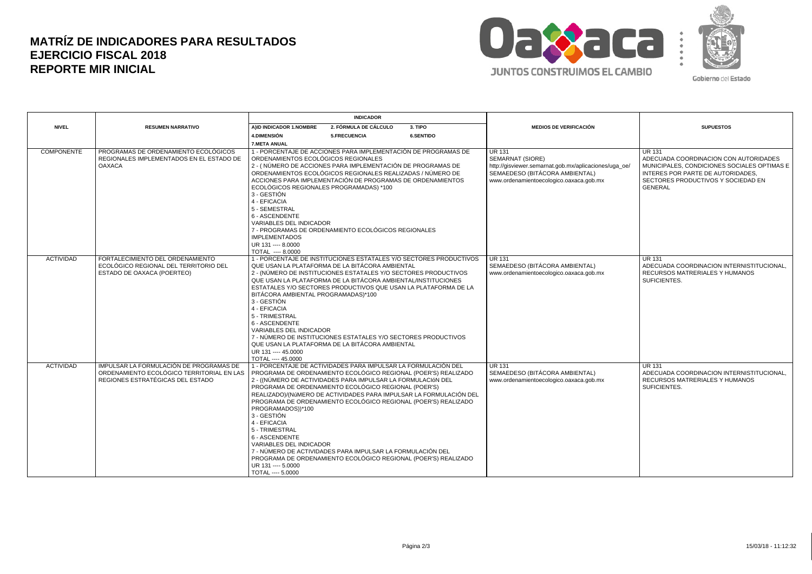## **MATRÍZ DE INDICADORES PARA RESULTADOS EJERCICIO FISCAL 2018 REPORTE MIR INICIAL**



Gobierno del Estado

|                   |                                                                                                                          | <b>INDICADOR</b>                                                                                                                                                                                                                 |                                                                                                                                                                                                                                                                                                                                                                                                                                                            |                                                                    |                                                                                                                                                                         |                                                                                                                                                                                                    |
|-------------------|--------------------------------------------------------------------------------------------------------------------------|----------------------------------------------------------------------------------------------------------------------------------------------------------------------------------------------------------------------------------|------------------------------------------------------------------------------------------------------------------------------------------------------------------------------------------------------------------------------------------------------------------------------------------------------------------------------------------------------------------------------------------------------------------------------------------------------------|--------------------------------------------------------------------|-------------------------------------------------------------------------------------------------------------------------------------------------------------------------|----------------------------------------------------------------------------------------------------------------------------------------------------------------------------------------------------|
| <b>NIVEL</b>      | <b>RESUMEN NARRATIVO</b>                                                                                                 | AIID INDICADOR 1.NOMBRE                                                                                                                                                                                                          | 2. FÓRMULA DE CÁLCULO                                                                                                                                                                                                                                                                                                                                                                                                                                      | 3. TIPO                                                            | <b>MEDIOS DE VERIFICACIÓN</b>                                                                                                                                           | <b>SUPUESTOS</b>                                                                                                                                                                                   |
|                   |                                                                                                                          | 4. DIMENSIÓN                                                                                                                                                                                                                     | 5.FRECUENCIA                                                                                                                                                                                                                                                                                                                                                                                                                                               | <b>6.SENTIDO</b>                                                   |                                                                                                                                                                         |                                                                                                                                                                                                    |
|                   |                                                                                                                          | <b>7.META ANUAL</b>                                                                                                                                                                                                              |                                                                                                                                                                                                                                                                                                                                                                                                                                                            |                                                                    |                                                                                                                                                                         |                                                                                                                                                                                                    |
| <b>COMPONENTE</b> | PROGRAMAS DE ORDENAMIENTO ECOLÓGICOS<br>REGIONALES IMPLEMENTADOS EN EL ESTADO DE<br><b>OAXACA</b>                        | ORDENAMIENTOS ECOLÓGICOS REGIONALES<br>ECOLÓGICOS REGIONALES PROGRAMADAS) *100<br>3 - GESTIÓN<br>4 - EFICACIA<br>5 - SEMESTRAL<br>6 - ASCENDENTE<br><b>VARIABLES DEL INDICADOR</b><br><b>IMPLEMENTADOS</b><br>UR 131 ---- 8.0000 | 1 - PORCENTAJE DE ACCIONES PARA IMPLEMENTACIÓN DE PROGRAMAS DE<br>2 - (NÚMERO DE ACCIONES PARA IMPLEMENTACIÓN DE PROGRAMAS DE<br>ORDENAMIENTOS ECOLÓGICOS REGIONALES REALIZADAS / NÚMERO DE<br>ACCIONES PARA IMPLEMENTACIÓN DE PROGRAMAS DE ORDENAMIENTOS<br>7 - PROGRAMAS DE ORDENAMIENTO ECOLÓGICOS REGIONALES                                                                                                                                           |                                                                    | <b>UR 131</b><br>SEMARNAT (SIORE)<br>http://qisviewer.semarnat.gob.mx/aplicaciones/uga_oe/<br>SEMAEDESO (BITÁCORA AMBIENTAL)<br>www.ordenamientoecologico.oaxaca.gob.mx | <b>UR 131</b><br>ADECUADA COORDINACION CON AUTORIDADES<br>MUNICIPALES, CONDICIONES SOCIALES OPTIMAS E<br>INTERES POR PARTE DE AUTORIDADES,<br>SECTORES PRODUCTIVOS Y SOCIEDAD EN<br><b>GENERAL</b> |
| <b>ACTIVIDAD</b>  | FORTALECIMIENTO DEL ORDENAMIENTO<br>ECOLÓGICO REGIONAL DEL TERRITORIO DEL<br>ESTADO DE OAXACA (POERTEO)                  | TOTAL ---- 8.0000<br>BITÁCORA AMBIENTAL PROGRAMADAS)*100<br>3 - GESTIÓN<br>4 - EFICACIA<br>5 - TRIMESTRAL<br>6 - ASCENDENTE<br><b>VARIABLES DEL INDICADOR</b><br>UR 131 ---- 45.0000<br>TOTAL ---- 45.0000                       | QUE USAN LA PLATAFORMA DE LA BITÁCORA AMBIENTAL<br>2 - (NÚMERO DE INSTITUCIONES ESTATALES Y/O SECTORES PRODUCTIVOS<br>QUE USAN LA PLATAFORMA DE LA BITÁCORA AMBIENTAL/INSTITUCIONES<br>ESTATALES Y/O SECTORES PRODUCTIVOS QUE USAN LA PLATAFORMA DE LA<br>7 - NÚMERO DE INSTITUCIONES ESTATALES Y/O SECTORES PRODUCTIVOS<br>QUE USAN LA PLATAFORMA DE LA BITÁCORA AMBIENTAL                                                                                | 1 - PORCENTAJE DE INSTITUCIONES ESTATALES Y/O SECTORES PRODUCTIVOS | <b>UR 131</b><br>SEMAEDESO (BITÁCORA AMBIENTAL)<br>www.ordenamientoecologico.oaxaca.gob.mx                                                                              | <b>UR 131</b><br>ADECUADA COORDINACION INTERNISTITUCIONAL.<br>RECURSOS MATRERIALES Y HUMANOS<br>SUFICIENTES.                                                                                       |
| <b>ACTIVIDAD</b>  | IMPULSAR LA FORMULACIÓN DE PROGRAMAS DE<br>ORDENAMIENTO ECOLÓGICO TERRITORIAL EN LAS<br>REGIONES ESTRATÉGICAS DEL ESTADO | PROGRAMADOS))*100<br>3 - GESTIÓN<br>4 - EFICACIA<br>5 - TRIMESTRAL<br>6 - ASCENDENTE<br><b>VARIABLES DEL INDICADOR</b><br>UR 131 ---- 5.0000<br>TOTAL ---- 5.0000                                                                | 1 - PORCENTAJE DE ACTIVIDADES PARA IMPULSAR LA FORMULACIÓN DEL<br>PROGRAMA DE ORDENAMIENTO ECOLÓGICO REGIONAL (POER'S) REALIZADO<br>2 - ((NÚMERO DE ACTIVIDADES PARA IMPULSAR LA FORMULACIÓN DEL<br>PROGRAMA DE ORDENAMIENTO ECOLÓGICO REGIONAL (POER'S)<br>PROGRAMA DE ORDENAMIENTO ECOLÓGICO REGIONAL (POER'S) REALIZADO<br>7 - NÚMERO DE ACTIVIDADES PARA IMPULSAR LA FORMULACIÓN DEL<br>PROGRAMA DE ORDENAMIENTO ECOLÓGICO REGIONAL (POER'S) REALIZADO | REALIZADO)/(NúMERO DE ACTIVIDADES PARA IMPULSAR LA FORMULACIÓN DEL | <b>UR 131</b><br>SEMAEDESO (BITÁCORA AMBIENTAL)<br>www.ordenamientoecologico.oaxaca.gob.mx                                                                              | <b>UR 131</b><br>ADECUADA COORDINACION INTERNISTITUCIONAL,<br><b>RECURSOS MATRERIALES Y HUMANOS</b><br>SUFICIENTES.                                                                                |